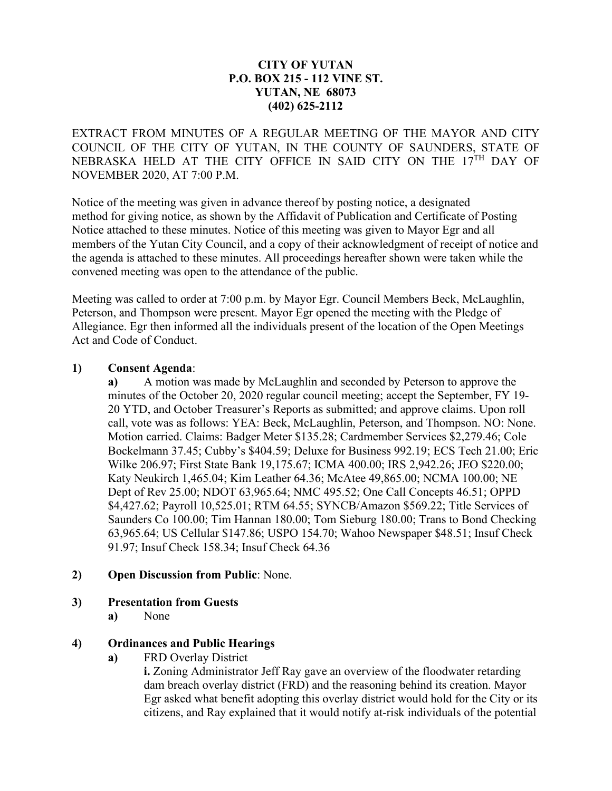#### **CITY OF YUTAN P.O. BOX 215 - 112 VINE ST. YUTAN, NE 68073 (402) 625-2112**

EXTRACT FROM MINUTES OF A REGULAR MEETING OF THE MAYOR AND CITY COUNCIL OF THE CITY OF YUTAN, IN THE COUNTY OF SAUNDERS, STATE OF NEBRASKA HELD AT THE CITY OFFICE IN SAID CITY ON THE 17TH DAY OF NOVEMBER 2020, AT 7:00 P.M.

Notice of the meeting was given in advance thereof by posting notice, a designated method for giving notice, as shown by the Affidavit of Publication and Certificate of Posting Notice attached to these minutes. Notice of this meeting was given to Mayor Egr and all members of the Yutan City Council, and a copy of their acknowledgment of receipt of notice and the agenda is attached to these minutes. All proceedings hereafter shown were taken while the convened meeting was open to the attendance of the public.

Meeting was called to order at 7:00 p.m. by Mayor Egr. Council Members Beck, McLaughlin, Peterson, and Thompson were present. Mayor Egr opened the meeting with the Pledge of Allegiance. Egr then informed all the individuals present of the location of the Open Meetings Act and Code of Conduct.

#### **1) Consent Agenda**:

**a)** A motion was made by McLaughlin and seconded by Peterson to approve the minutes of the October 20, 2020 regular council meeting; accept the September, FY 19- 20 YTD, and October Treasurer's Reports as submitted; and approve claims. Upon roll call, vote was as follows: YEA: Beck, McLaughlin, Peterson, and Thompson. NO: None. Motion carried. Claims: Badger Meter \$135.28; Cardmember Services \$2,279.46; Cole Bockelmann 37.45; Cubby's \$404.59; Deluxe for Business 992.19; ECS Tech 21.00; Eric Wilke 206.97; First State Bank 19,175.67; ICMA 400.00; IRS 2,942.26; JEO \$220.00; Katy Neukirch 1,465.04; Kim Leather 64.36; McAtee 49,865.00; NCMA 100.00; NE Dept of Rev 25.00; NDOT 63,965.64; NMC 495.52; One Call Concepts 46.51; OPPD \$4,427.62; Payroll 10,525.01; RTM 64.55; SYNCB/Amazon \$569.22; Title Services of Saunders Co 100.00; Tim Hannan 180.00; Tom Sieburg 180.00; Trans to Bond Checking 63,965.64; US Cellular \$147.86; USPO 154.70; Wahoo Newspaper \$48.51; Insuf Check 91.97; Insuf Check 158.34; Insuf Check 64.36

#### **2) Open Discussion from Public**: None.

# **3) Presentation from Guests**

**a)** None

# **4) Ordinances and Public Hearings**

**a)** FRD Overlay District

**i.** Zoning Administrator Jeff Ray gave an overview of the floodwater retarding dam breach overlay district (FRD) and the reasoning behind its creation. Mayor Egr asked what benefit adopting this overlay district would hold for the City or its citizens, and Ray explained that it would notify at-risk individuals of the potential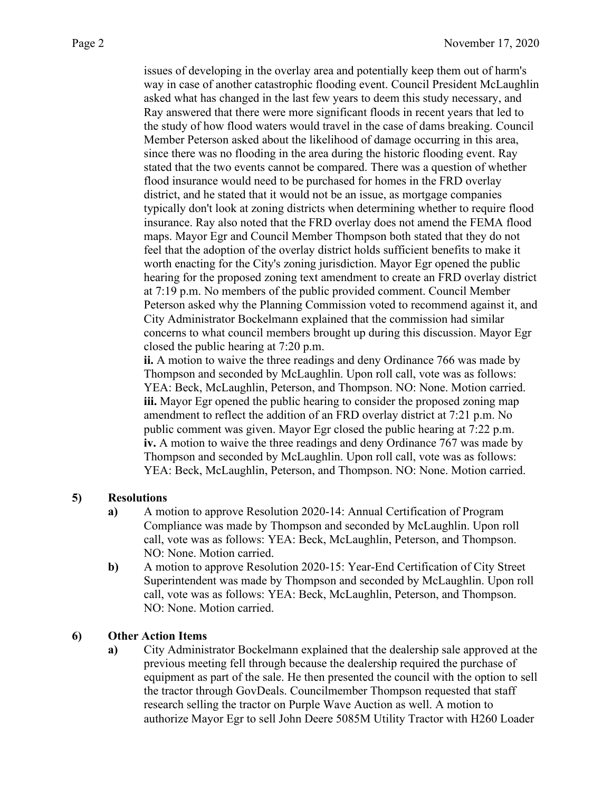issues of developing in the overlay area and potentially keep them out of harm's way in case of another catastrophic flooding event. Council President McLaughlin asked what has changed in the last few years to deem this study necessary, and Ray answered that there were more significant floods in recent years that led to the study of how flood waters would travel in the case of dams breaking. Council Member Peterson asked about the likelihood of damage occurring in this area, since there was no flooding in the area during the historic flooding event. Ray stated that the two events cannot be compared. There was a question of whether flood insurance would need to be purchased for homes in the FRD overlay district, and he stated that it would not be an issue, as mortgage companies typically don't look at zoning districts when determining whether to require flood insurance. Ray also noted that the FRD overlay does not amend the FEMA flood maps. Mayor Egr and Council Member Thompson both stated that they do not feel that the adoption of the overlay district holds sufficient benefits to make it worth enacting for the City's zoning jurisdiction. Mayor Egr opened the public hearing for the proposed zoning text amendment to create an FRD overlay district at 7:19 p.m. No members of the public provided comment. Council Member Peterson asked why the Planning Commission voted to recommend against it, and City Administrator Bockelmann explained that the commission had similar concerns to what council members brought up during this discussion. Mayor Egr closed the public hearing at 7:20 p.m.

**ii.** A motion to waive the three readings and deny Ordinance 766 was made by Thompson and seconded by McLaughlin. Upon roll call, vote was as follows: YEA: Beck, McLaughlin, Peterson, and Thompson. NO: None. Motion carried. **iii.** Mayor Egr opened the public hearing to consider the proposed zoning map amendment to reflect the addition of an FRD overlay district at 7:21 p.m. No public comment was given. Mayor Egr closed the public hearing at 7:22 p.m. **iv.** A motion to waive the three readings and deny Ordinance 767 was made by Thompson and seconded by McLaughlin. Upon roll call, vote was as follows: YEA: Beck, McLaughlin, Peterson, and Thompson. NO: None. Motion carried.

# **5) Resolutions**

- **a)** A motion to approve Resolution 2020-14: Annual Certification of Program Compliance was made by Thompson and seconded by McLaughlin. Upon roll call, vote was as follows: YEA: Beck, McLaughlin, Peterson, and Thompson. NO: None. Motion carried.
- **b)** A motion to approve Resolution 2020-15: Year-End Certification of City Street Superintendent was made by Thompson and seconded by McLaughlin. Upon roll call, vote was as follows: YEA: Beck, McLaughlin, Peterson, and Thompson. NO: None. Motion carried.

# **6) Other Action Items**

**a)** City Administrator Bockelmann explained that the dealership sale approved at the previous meeting fell through because the dealership required the purchase of equipment as part of the sale. He then presented the council with the option to sell the tractor through GovDeals. Councilmember Thompson requested that staff research selling the tractor on Purple Wave Auction as well. A motion to authorize Mayor Egr to sell John Deere 5085M Utility Tractor with H260 Loader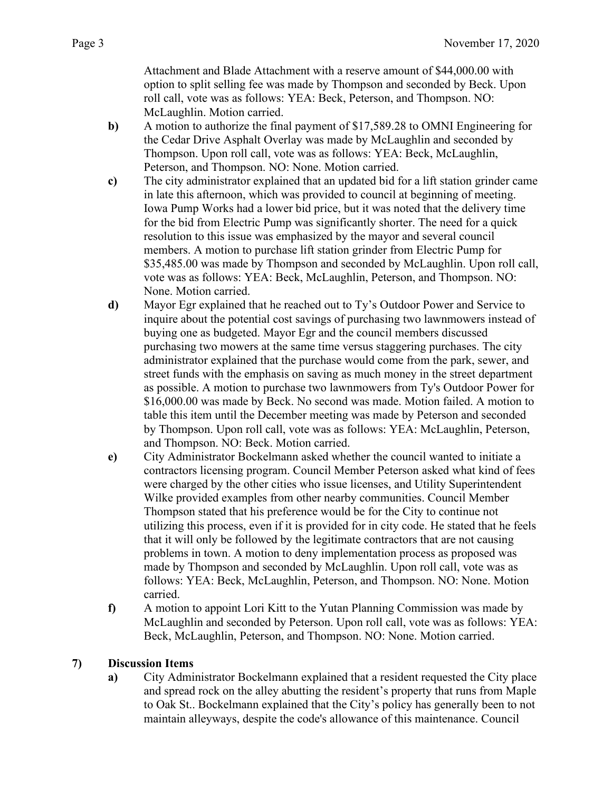Attachment and Blade Attachment with a reserve amount of \$44,000.00 with option to split selling fee was made by Thompson and seconded by Beck. Upon roll call, vote was as follows: YEA: Beck, Peterson, and Thompson. NO: McLaughlin. Motion carried.

- **b)** A motion to authorize the final payment of \$17,589.28 to OMNI Engineering for the Cedar Drive Asphalt Overlay was made by McLaughlin and seconded by Thompson. Upon roll call, vote was as follows: YEA: Beck, McLaughlin, Peterson, and Thompson. NO: None. Motion carried.
- **c)** The city administrator explained that an updated bid for a lift station grinder came in late this afternoon, which was provided to council at beginning of meeting. Iowa Pump Works had a lower bid price, but it was noted that the delivery time for the bid from Electric Pump was significantly shorter. The need for a quick resolution to this issue was emphasized by the mayor and several council members. A motion to purchase lift station grinder from Electric Pump for \$35,485.00 was made by Thompson and seconded by McLaughlin. Upon roll call, vote was as follows: YEA: Beck, McLaughlin, Peterson, and Thompson. NO: None. Motion carried.
- **d)** Mayor Egr explained that he reached out to Ty's Outdoor Power and Service to inquire about the potential cost savings of purchasing two lawnmowers instead of buying one as budgeted. Mayor Egr and the council members discussed purchasing two mowers at the same time versus staggering purchases. The city administrator explained that the purchase would come from the park, sewer, and street funds with the emphasis on saving as much money in the street department as possible. A motion to purchase two lawnmowers from Ty's Outdoor Power for \$16,000.00 was made by Beck. No second was made. Motion failed. A motion to table this item until the December meeting was made by Peterson and seconded by Thompson. Upon roll call, vote was as follows: YEA: McLaughlin, Peterson, and Thompson. NO: Beck. Motion carried.
- **e)** City Administrator Bockelmann asked whether the council wanted to initiate a contractors licensing program. Council Member Peterson asked what kind of fees were charged by the other cities who issue licenses, and Utility Superintendent Wilke provided examples from other nearby communities. Council Member Thompson stated that his preference would be for the City to continue not utilizing this process, even if it is provided for in city code. He stated that he feels that it will only be followed by the legitimate contractors that are not causing problems in town. A motion to deny implementation process as proposed was made by Thompson and seconded by McLaughlin. Upon roll call, vote was as follows: YEA: Beck, McLaughlin, Peterson, and Thompson. NO: None. Motion carried.
- **f)** A motion to appoint Lori Kitt to the Yutan Planning Commission was made by McLaughlin and seconded by Peterson. Upon roll call, vote was as follows: YEA: Beck, McLaughlin, Peterson, and Thompson. NO: None. Motion carried.

# **7) Discussion Items**

**a)** City Administrator Bockelmann explained that a resident requested the City place and spread rock on the alley abutting the resident's property that runs from Maple to Oak St.. Bockelmann explained that the City's policy has generally been to not maintain alleyways, despite the code's allowance of this maintenance. Council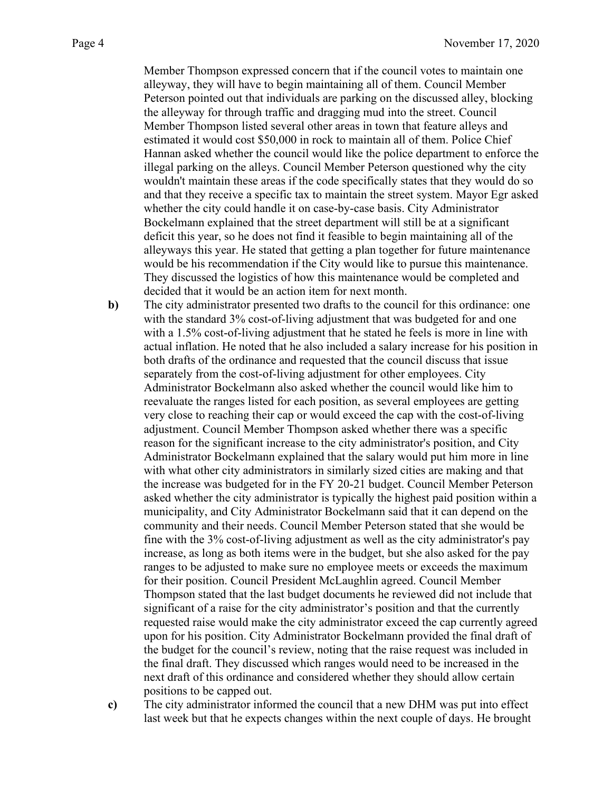Member Thompson expressed concern that if the council votes to maintain one alleyway, they will have to begin maintaining all of them. Council Member Peterson pointed out that individuals are parking on the discussed alley, blocking the alleyway for through traffic and dragging mud into the street. Council Member Thompson listed several other areas in town that feature alleys and estimated it would cost \$50,000 in rock to maintain all of them. Police Chief Hannan asked whether the council would like the police department to enforce the illegal parking on the alleys. Council Member Peterson questioned why the city wouldn't maintain these areas if the code specifically states that they would do so and that they receive a specific tax to maintain the street system. Mayor Egr asked whether the city could handle it on case-by-case basis. City Administrator Bockelmann explained that the street department will still be at a significant deficit this year, so he does not find it feasible to begin maintaining all of the alleyways this year. He stated that getting a plan together for future maintenance would be his recommendation if the City would like to pursue this maintenance. They discussed the logistics of how this maintenance would be completed and decided that it would be an action item for next month.

**b**) The city administrator presented two drafts to the council for this ordinance: one with the standard 3% cost-of-living adjustment that was budgeted for and one with a 1.5% cost-of-living adjustment that he stated he feels is more in line with actual inflation. He noted that he also included a salary increase for his position in both drafts of the ordinance and requested that the council discuss that issue separately from the cost-of-living adjustment for other employees. City Administrator Bockelmann also asked whether the council would like him to reevaluate the ranges listed for each position, as several employees are getting very close to reaching their cap or would exceed the cap with the cost-of-living adjustment. Council Member Thompson asked whether there was a specific reason for the significant increase to the city administrator's position, and City Administrator Bockelmann explained that the salary would put him more in line with what other city administrators in similarly sized cities are making and that the increase was budgeted for in the FY 20-21 budget. Council Member Peterson asked whether the city administrator is typically the highest paid position within a municipality, and City Administrator Bockelmann said that it can depend on the community and their needs. Council Member Peterson stated that she would be fine with the 3% cost-of-living adjustment as well as the city administrator's pay increase, as long as both items were in the budget, but she also asked for the pay ranges to be adjusted to make sure no employee meets or exceeds the maximum for their position. Council President McLaughlin agreed. Council Member Thompson stated that the last budget documents he reviewed did not include that significant of a raise for the city administrator's position and that the currently requested raise would make the city administrator exceed the cap currently agreed upon for his position. City Administrator Bockelmann provided the final draft of the budget for the council's review, noting that the raise request was included in the final draft. They discussed which ranges would need to be increased in the next draft of this ordinance and considered whether they should allow certain positions to be capped out.

**c)** The city administrator informed the council that a new DHM was put into effect last week but that he expects changes within the next couple of days. He brought